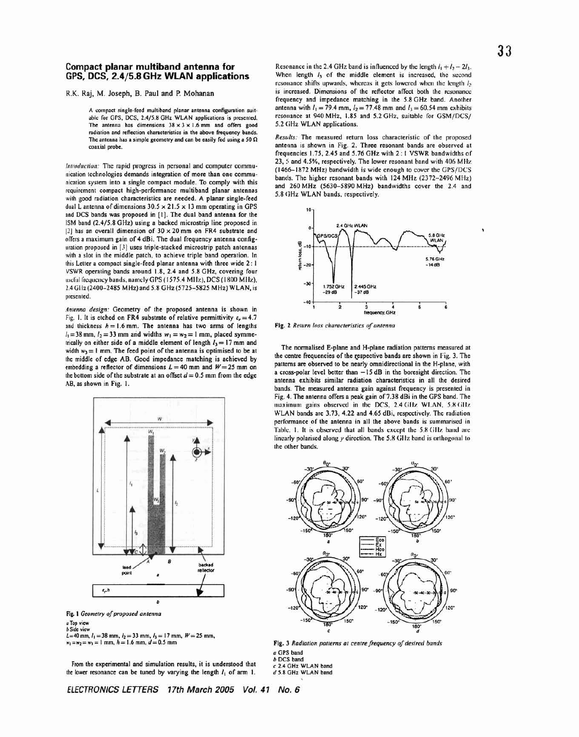## Compact planar multiband antenna for GPS, DCS, 2.4/5.8 GHz WLAN applications

R.K. Raj, M. Joseph, B. Paul and P. Mohanan

A compact single-feed multiband planar antenna configuration suitable for GPS, DCS, 2.4/5.8 GHz WLAN applications is presented. The antenna has dimensions  $38 \times 3 \times 1.6$  mm and offers good radiation and reflection characteristics in the above frequency bands. The antenna has a simple geometry and can be easily fed using a 50  $\Omega$ coaxial probe.

Introduction: The rapid progress in personal and computer communication technologies demands integration of more than one communication system into a single compact module. To comply with this requirement compact high-performance multiband planar antennas with good radiation characteristics are needed. A planar single-feed dual L antenna of dimensions  $30.5 \times 21.5 \times 13$  mm operating in GPS and DCS bands was proposed in [1]. The dual band antenna for the ISM band (2.4/5.8 GHz) using a backed microstrip line proposed in [2] has an overall dimension of  $30 \times 20$  mm on FR4 substrate and offers a maximum gain of 4 dBi. The dual frequency antenna configuration proposed in [3] uses triple-stacked microstrip patch antennas with a slot in the middle patch, to achieve triple band operation. In this Letter a compact single-feed planar antenna with three wide 2: 1 VSWR operating bands around 1.8, 2.4 and 5.8 GHz, covering four useful frequency bands, namely GPS (1575.4 MHz), DCS (1800 MHz), 2.4 GHz (2400-2485 MHz) and 5.8 GHz (5725-5825 MHz) WLAN, is presented.

Antenna design: Geometry of the proposed antenna is shown in Fig. 1. It is etched on FR4 substrate of relative permittivity  $\varepsilon_r = 4.7$ and thickness  $h = 1.6$  mm. The antenna has two arms of lengths  $l_1 = 38$  mm,  $l_2 = 33$  mm and widths  $w_1 = w_2 = 1$  mm, placed symmetrically on either side of a middle element of length  $l_3 = 17$  mm and width  $w_3 = 1$  mm. The feed point of the antenna is optimised to be at the middle of edge AB. Good impedance matching is achieved by embedding a reflector of dimensions  $L = 40$  mm and  $W = 25$  mm on the bottom side of the substrate at an offset  $d = 0.5$  mm from the edge AB, as shown in Fig. 1.



Fig. 1 Geometry of proposed antenna a Top view **b** Side view  $L = 40$  mm,  $l_1 = 38$  mm,  $l_2 = 33$  mm,  $l_3 = 17$  mm,  $W = 25$  mm,

 $w_1 = w_2 = w_3 = 1$  mm,  $h = 1.6$  mm,  $d = 0.5$  mm

From the experimental and simulation results, it is understood that the lower resonance can be tuned by varying the length  $l_1$  of arm 1.

ELECTRONICS LETTERS 17th March 2005 Vol. 41 No. 6

Resonance in the 2.4 GHz band is influenced by the length  $l_1 + l_2 - 2l_3$ . When length  $I_3$  of the middle element is increased, the second resonance shifts upwards, whereas it gets lowered when the length  $I_2$ is increased. Dimensions of the reflector affect both the resonance frequency and impedance matching in the 5.8 GHz band. Another antenna with  $l_1 = 79.4$  mm,  $l_2 = 77.48$  mm and  $l_3 = 60.54$  mm exhibits resonance at 940 MHz, 1.85 and 5.2 GHz, suitable for GSM/DCS/ 5.2 GHz WLAN applications.

Results: The measured return loss characteristic of the proposed antenna is shown in Fig. 2. Three resonant bands are observed at frequencies 1.75, 2.45 and 5.76 GHz with 2:1 VSWR bandwidths of 23, 5 and 4.5%, respectively. The lower resonant band with 406 MHz (1466-1872 MHz) bandwidth is wide enough to cover the GPS/DCS bands. The higher resonant bands with 124 MHz (2372-2496 MHz) and 260 MHz (5630-5890 MHz) bandwidths cover the 2.4 and 5.8 GHz WLAN bands, respectively.



Fig. 2 Return loss characteristics of antenna

The normalised E-plane and H-plane radiation patterns measured at the centre frequencies of the respective bands are shown in Fig. 3. The patterns are observed to be nearly omnidirectional in the H-plane, with a cross-polar level better than  $-15$  dB in the boresight direction. The antenna exhibits similar radiation characteristics in all the desired bands. The measured antenna gain against frequency is presented in Fig. 4. The antenna offers a peak gain of 7.38 dBi in the GPS band. The maximum gains observed in the DCS, 2.4 GHz WLAN, 5.8 GHz WLAN bands are 3.73, 4.22 and 4.65 dBi, respectively. The radiation performance of the antenna in all the above bands is summarised in Table. 1. It is observed that all bands except the 5.8 GHz band are linearly polarised along y direction. The 5.8 GHz band is orthogonal to the other bands.



Fig. 3 Radiation patterns at centre frequency of desired bands a GPS band **b** DCS band c 2.4 GHz WLAN band d 5.8 GHz WLAN band